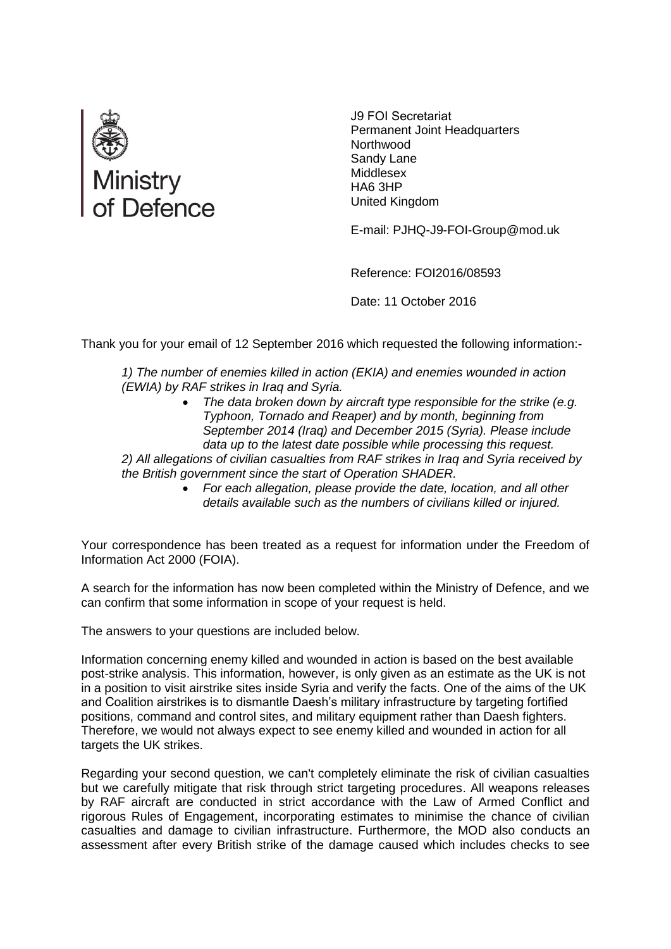

J9 FOI Secretariat Permanent Joint Headquarters **Northwood** Sandy Lane Middlesex HA6 3HP United Kingdom

E-mail: PJHQ-J9-FOI-Group@mod.uk

Reference: FOI2016/08593

Date: 11 October 2016

Thank you for your email of 12 September 2016 which requested the following information:-

*1) The number of enemies killed in action (EKIA) and enemies wounded in action (EWIA) by RAF strikes in Iraq and Syria.* 

 *The data broken down by aircraft type responsible for the strike (e.g. Typhoon, Tornado and Reaper) and by month, beginning from September 2014 (Iraq) and December 2015 (Syria). Please include data up to the latest date possible while processing this request.* 

*2) All allegations of civilian casualties from RAF strikes in Iraq and Syria received by the British government since the start of Operation SHADER.* 

 *For each allegation, please provide the date, location, and all other details available such as the numbers of civilians killed or injured.* 

Your correspondence has been treated as a request for information under the Freedom of Information Act 2000 (FOIA).

A search for the information has now been completed within the Ministry of Defence, and we can confirm that some information in scope of your request is held.

The answers to your questions are included below.

Information concerning enemy killed and wounded in action is based on the best available post-strike analysis. This information, however, is only given as an estimate as the UK is not in a position to visit airstrike sites inside Syria and verify the facts. One of the aims of the UK and Coalition airstrikes is to dismantle Daesh's military infrastructure by targeting fortified positions, command and control sites, and military equipment rather than Daesh fighters. Therefore, we would not always expect to see enemy killed and wounded in action for all targets the UK strikes.

Regarding your second question, we can't completely eliminate the risk of civilian casualties but we carefully mitigate that risk through strict targeting procedures. All weapons releases by RAF aircraft are conducted in strict accordance with the Law of Armed Conflict and rigorous Rules of Engagement, incorporating estimates to minimise the chance of civilian casualties and damage to civilian infrastructure. Furthermore, the MOD also conducts an assessment after every British strike of the damage caused which includes checks to see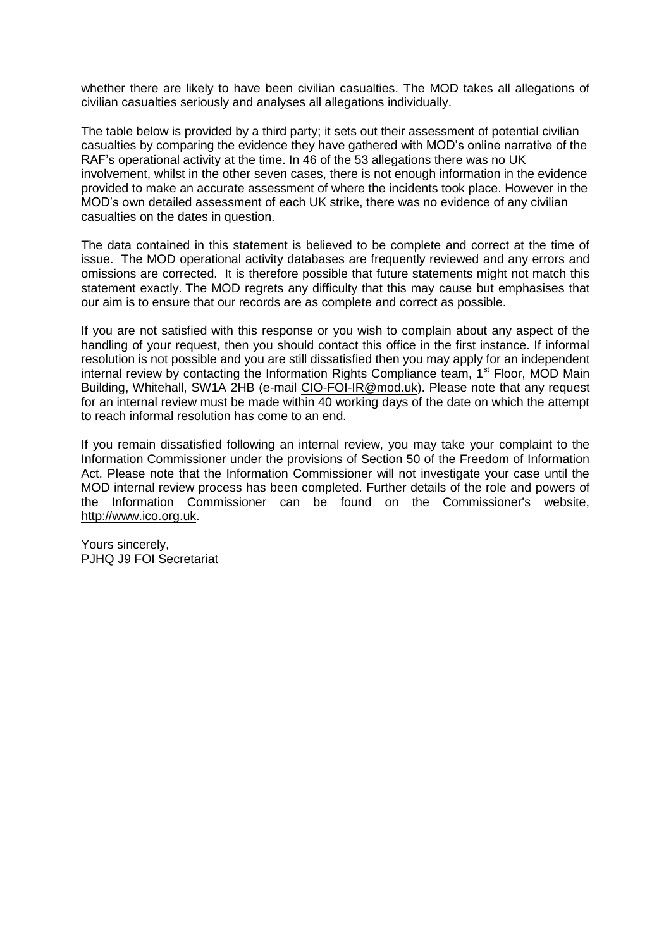whether there are likely to have been civilian casualties. The MOD takes all allegations of civilian casualties seriously and analyses all allegations individually.

The table below is provided by a third party; it sets out their assessment of potential civilian casualties by comparing the evidence they have gathered with MOD's online narrative of the RAF's operational activity at the time. In 46 of the 53 allegations there was no UK involvement, whilst in the other seven cases, there is not enough information in the evidence provided to make an accurate assessment of where the incidents took place. However in the MOD's own detailed assessment of each UK strike, there was no evidence of any civilian casualties on the dates in question.

The data contained in this statement is believed to be complete and correct at the time of issue. The MOD operational activity databases are frequently reviewed and any errors and omissions are corrected. It is therefore possible that future statements might not match this statement exactly. The MOD regrets any difficulty that this may cause but emphasises that our aim is to ensure that our records are as complete and correct as possible.

If you are not satisfied with this response or you wish to complain about any aspect of the handling of your request, then you should contact this office in the first instance. If informal resolution is not possible and you are still dissatisfied then you may apply for an independent internal review by contacting the Information Rights Compliance team,  $1<sup>st</sup>$  Floor, MOD Main Building, Whitehall, SW1A 2HB (e-mail CIO-FOI-IR@mod.uk). Please note that any request for an internal review must be made within 40 working days of the date on which the attempt to reach informal resolution has come to an end.

If you remain dissatisfied following an internal review, you may take your complaint to the Information Commissioner under the provisions of Section 50 of the Freedom of Information Act. Please note that the Information Commissioner will not investigate your case until the MOD internal review process has been completed. Further details of the role and powers of the Information Commissioner can be found on the Commissioner's website, http://www.ico.org.uk.

Yours sincerely, PJHQ J9 FOI Secretariat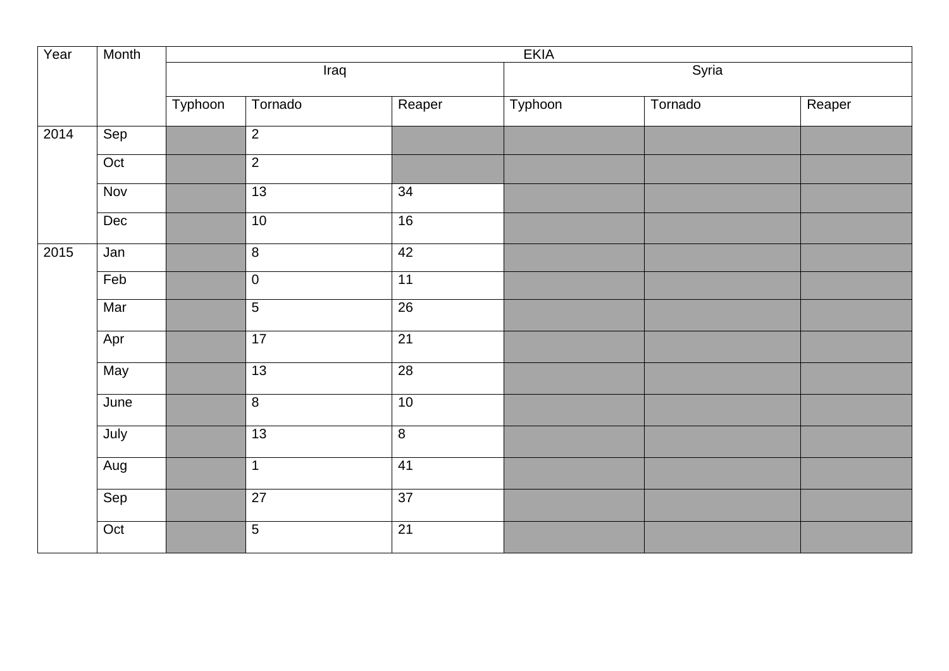| Year | Month | <b>EKIA</b> |                 |                 |         |         |        |  |
|------|-------|-------------|-----------------|-----------------|---------|---------|--------|--|
|      |       |             | Iraq            |                 |         | Syria   |        |  |
|      |       | Typhoon     | Tornado         | Reaper          | Typhoon | Tornado | Reaper |  |
| 2014 | Sep   |             | $\overline{2}$  |                 |         |         |        |  |
|      | Oct   |             | $\overline{2}$  |                 |         |         |        |  |
|      | Nov   |             | 13              | 34              |         |         |        |  |
|      | Dec   |             | 10              | 16              |         |         |        |  |
| 2015 | Jan   |             | $\overline{8}$  | 42              |         |         |        |  |
|      | Feb   |             | $\overline{0}$  | 11              |         |         |        |  |
|      | Mar   |             | $\overline{5}$  | $\overline{26}$ |         |         |        |  |
|      | Apr   |             | 17              | $\overline{21}$ |         |         |        |  |
|      | May   |             | $\overline{13}$ | 28              |         |         |        |  |
|      | June  |             | $\overline{8}$  | 10              |         |         |        |  |
|      | July  |             | 13              | $\overline{8}$  |         |         |        |  |
|      | Aug   |             | $\mathbf{1}$    | 41              |         |         |        |  |
|      | Sep   |             | $\overline{27}$ | 37              |         |         |        |  |
|      | Oct   |             | $\overline{5}$  | $\overline{21}$ |         |         |        |  |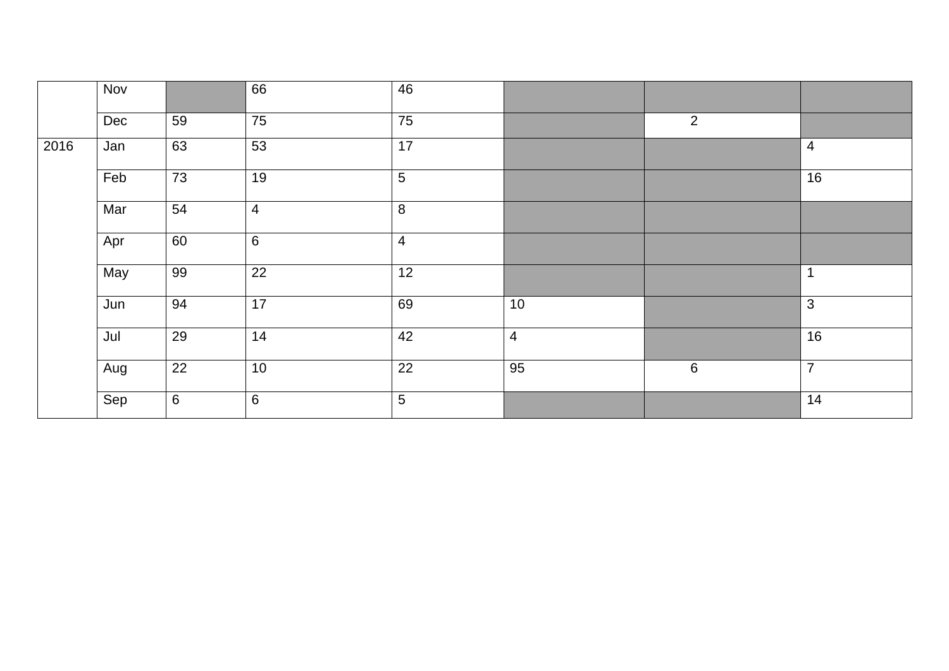|      | <b>Nov</b> |    | 66              | 46             |                |         |                |
|------|------------|----|-----------------|----------------|----------------|---------|----------------|
|      | Dec        | 59 | 75              | 75             |                | 2       |                |
| 2016 | Jan        | 63 | 53              | 17             |                |         | $\overline{4}$ |
|      | Feb        | 73 | 19              | $\overline{5}$ |                |         | 16             |
|      | Mar        | 54 | $\overline{4}$  | 8              |                |         |                |
|      | Apr        | 60 | $6\phantom{1}6$ | $\overline{4}$ |                |         |                |
|      | May        | 99 | 22              | 12             |                |         | $\mathbf{1}$   |
|      | Jun        | 94 | 17              | 69             | 10             |         | $\mathfrak{3}$ |
|      | Jul        | 29 | 14              | 42             | $\overline{4}$ |         | 16             |
|      | Aug        | 22 | 10              | 22             | 95             | $\,6\,$ | $\overline{7}$ |
|      | Sep        | 6  | $6\phantom{1}6$ | $\overline{5}$ |                |         | 14             |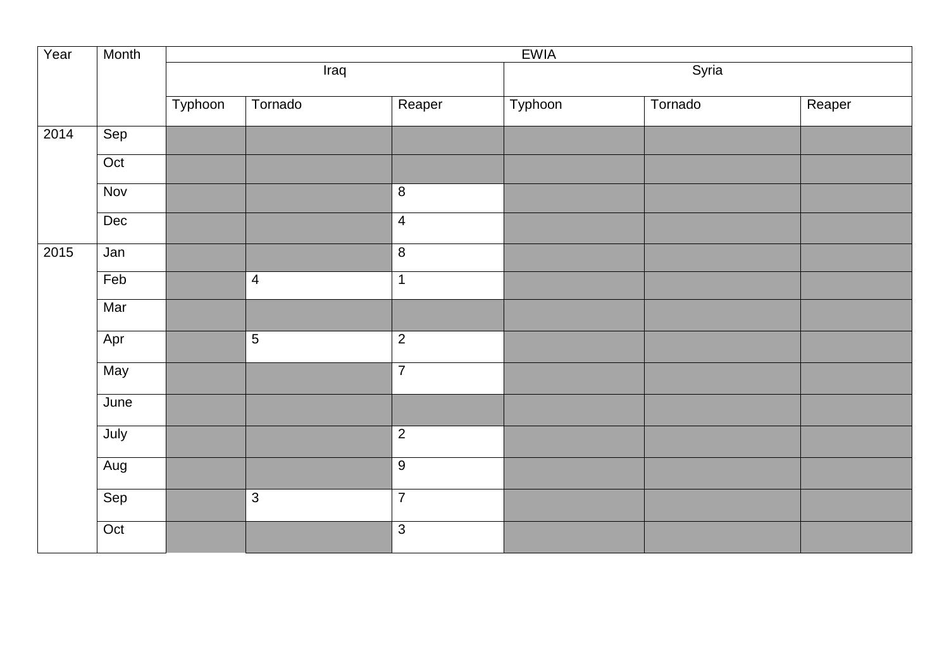| Year | Month      | <b>EWIA</b> |                |                         |         |         |        |  |
|------|------------|-------------|----------------|-------------------------|---------|---------|--------|--|
|      |            |             | Iraq           |                         | Syria   |         |        |  |
|      |            | Typhoon     | Tornado        | Reaper                  | Typhoon | Tornado | Reaper |  |
| 2014 | Sep        |             |                |                         |         |         |        |  |
|      | Oct        |             |                |                         |         |         |        |  |
|      | <b>Nov</b> |             |                | $\,8\,$                 |         |         |        |  |
|      | Dec        |             |                | $\overline{\mathbf{4}}$ |         |         |        |  |
| 2015 | Jan        |             |                | $\overline{8}$          |         |         |        |  |
|      | Feb        |             | $\overline{4}$ | $\mathbf 1$             |         |         |        |  |
|      | Mar        |             |                |                         |         |         |        |  |
|      | Apr        |             | $\overline{5}$ | $\overline{2}$          |         |         |        |  |
|      | May        |             |                | $\overline{7}$          |         |         |        |  |
|      | June       |             |                |                         |         |         |        |  |
|      | July       |             |                | $\overline{2}$          |         |         |        |  |
|      | Aug        |             |                | $\boldsymbol{9}$        |         |         |        |  |
|      | Sep        |             | $\overline{3}$ | $\overline{7}$          |         |         |        |  |
|      | Oct        |             |                | $\overline{3}$          |         |         |        |  |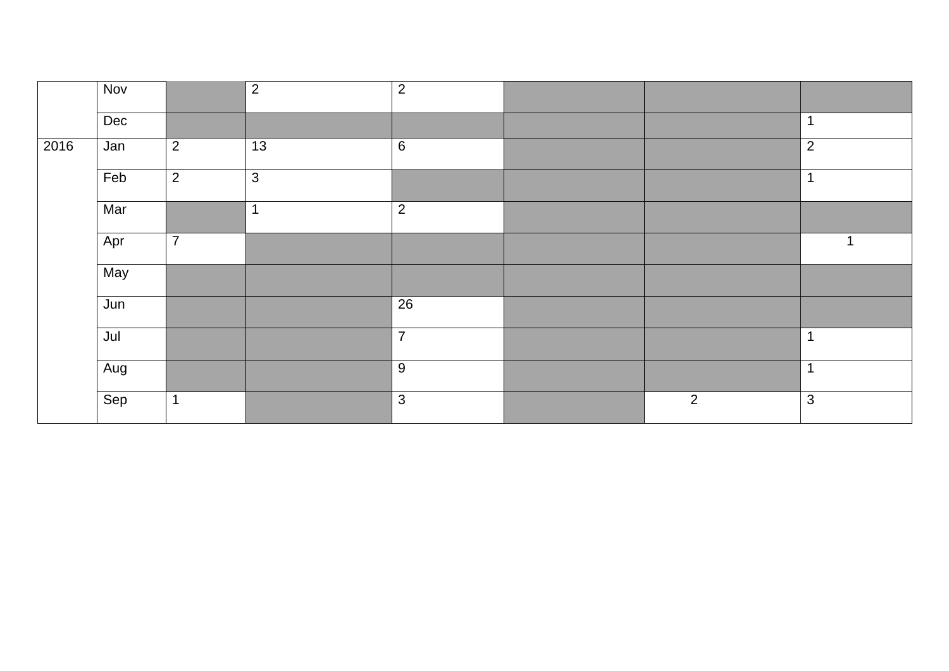|      | <b>Nov</b>       |                | $\overline{2}$ | $\overline{2}$   |                |                |
|------|------------------|----------------|----------------|------------------|----------------|----------------|
|      | Dec              |                |                |                  |                | $\mathbf 1$    |
| 2016 | Jan              | $\overline{2}$ | 13             | $\,6\,$          |                | $\overline{2}$ |
|      | Feb              | $\overline{2}$ | $\overline{3}$ |                  |                | $\mathbf{1}$   |
|      | Mar              |                | $\overline{1}$ | $\overline{2}$   |                |                |
|      | Apr              | $\overline{7}$ |                |                  |                |                |
|      | May              |                |                |                  |                |                |
|      | Jun              |                |                | 26               |                |                |
|      | Jul              |                |                | $\overline{7}$   |                | $\mathbf 1$    |
|      | $\overline{Aug}$ |                |                | $\boldsymbol{9}$ |                | $\mathbf 1$    |
|      | Sep              | 1              |                | $\mathfrak{S}$   | $\overline{2}$ | $\mathbf{3}$   |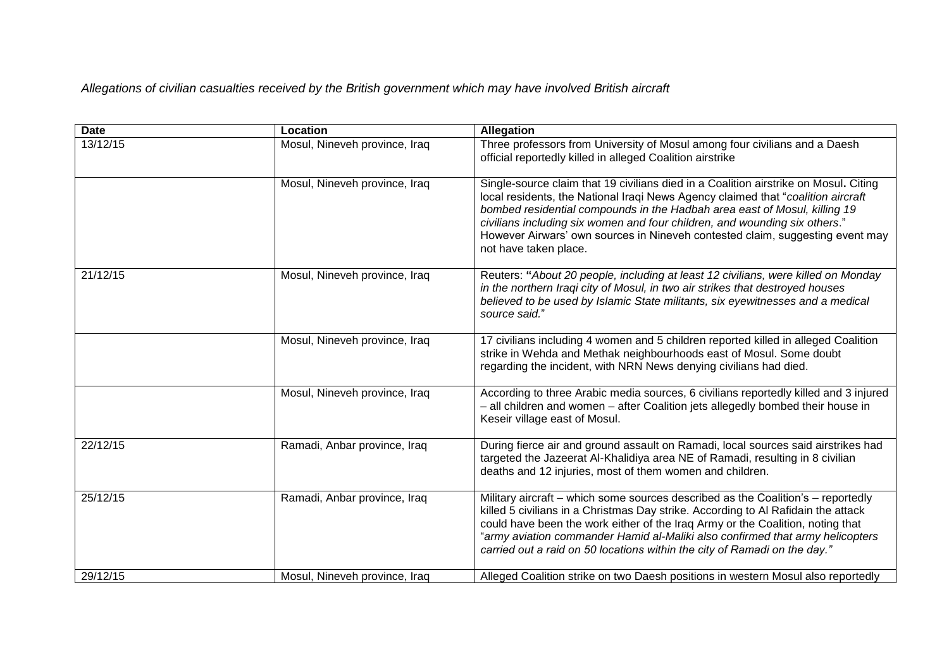*Allegations of civilian casualties received by the British government which may have involved British aircraft* 

| <b>Date</b> | Location                      | <b>Allegation</b>                                                                                                                                                                                                                                                                                                                                                                                                                              |
|-------------|-------------------------------|------------------------------------------------------------------------------------------------------------------------------------------------------------------------------------------------------------------------------------------------------------------------------------------------------------------------------------------------------------------------------------------------------------------------------------------------|
| 13/12/15    | Mosul, Nineveh province, Iraq | Three professors from University of Mosul among four civilians and a Daesh<br>official reportedly killed in alleged Coalition airstrike                                                                                                                                                                                                                                                                                                        |
|             | Mosul, Nineveh province, Iraq | Single-source claim that 19 civilians died in a Coalition airstrike on Mosul. Citing<br>local residents, the National Iraqi News Agency claimed that "coalition aircraft"<br>bombed residential compounds in the Hadbah area east of Mosul, killing 19<br>civilians including six women and four children, and wounding six others."<br>However Airwars' own sources in Nineveh contested claim, suggesting event may<br>not have taken place. |
| 21/12/15    | Mosul, Nineveh province, Iraq | Reuters: "About 20 people, including at least 12 civilians, were killed on Monday<br>in the northern Iraqi city of Mosul, in two air strikes that destroyed houses<br>believed to be used by Islamic State militants, six eyewitnesses and a medical<br>source said."                                                                                                                                                                          |
|             | Mosul, Nineveh province, Iraq | 17 civilians including 4 women and 5 children reported killed in alleged Coalition<br>strike in Wehda and Methak neighbourhoods east of Mosul. Some doubt<br>regarding the incident, with NRN News denying civilians had died.                                                                                                                                                                                                                 |
|             | Mosul, Nineveh province, Iraq | According to three Arabic media sources, 6 civilians reportedly killed and 3 injured<br>- all children and women - after Coalition jets allegedly bombed their house in<br>Keseir village east of Mosul.                                                                                                                                                                                                                                       |
| 22/12/15    | Ramadi, Anbar province, Iraq  | During fierce air and ground assault on Ramadi, local sources said airstrikes had<br>targeted the Jazeerat Al-Khalidiya area NE of Ramadi, resulting in 8 civilian<br>deaths and 12 injuries, most of them women and children.                                                                                                                                                                                                                 |
| 25/12/15    | Ramadi, Anbar province, Iraq  | Military aircraft – which some sources described as the Coalition's – reportedly<br>killed 5 civilians in a Christmas Day strike. According to Al Rafidain the attack<br>could have been the work either of the Iraq Army or the Coalition, noting that<br>"army aviation commander Hamid al-Maliki also confirmed that army helicopters<br>carried out a raid on 50 locations within the city of Ramadi on the day."                          |
| 29/12/15    | Mosul, Nineveh province, Iraq | Alleged Coalition strike on two Daesh positions in western Mosul also reportedly                                                                                                                                                                                                                                                                                                                                                               |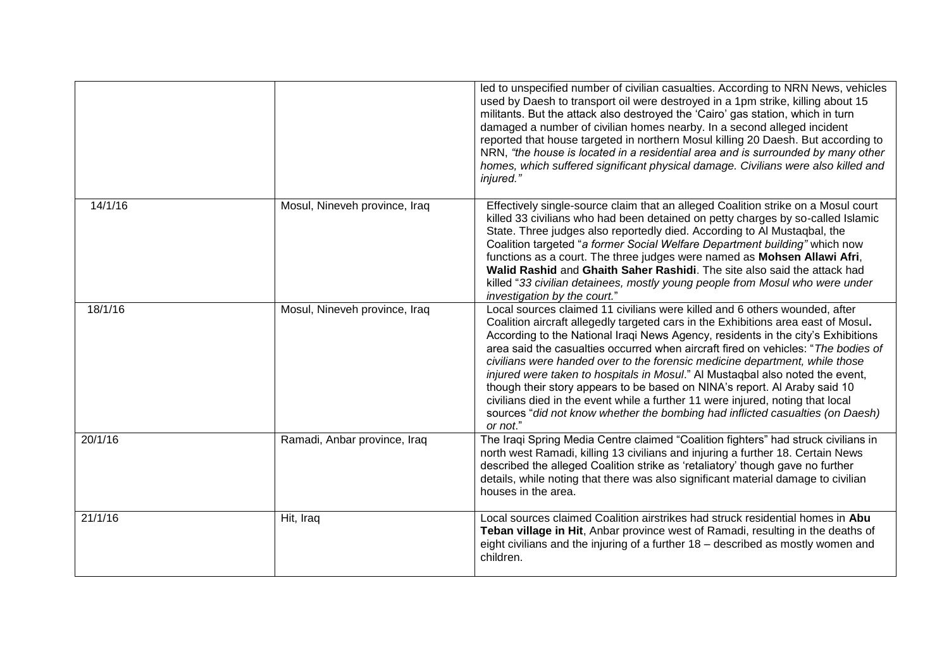|         |                               | led to unspecified number of civilian casualties. According to NRN News, vehicles<br>used by Daesh to transport oil were destroyed in a 1pm strike, killing about 15<br>militants. But the attack also destroyed the 'Cairo' gas station, which in turn<br>damaged a number of civilian homes nearby. In a second alleged incident<br>reported that house targeted in northern Mosul killing 20 Daesh. But according to<br>NRN, "the house is located in a residential area and is surrounded by many other<br>homes, which suffered significant physical damage. Civilians were also killed and<br>injured."                                                                                                                                                        |
|---------|-------------------------------|----------------------------------------------------------------------------------------------------------------------------------------------------------------------------------------------------------------------------------------------------------------------------------------------------------------------------------------------------------------------------------------------------------------------------------------------------------------------------------------------------------------------------------------------------------------------------------------------------------------------------------------------------------------------------------------------------------------------------------------------------------------------|
| 14/1/16 | Mosul, Nineveh province, Iraq | Effectively single-source claim that an alleged Coalition strike on a Mosul court<br>killed 33 civilians who had been detained on petty charges by so-called Islamic<br>State. Three judges also reportedly died. According to Al Mustaqbal, the<br>Coalition targeted "a former Social Welfare Department building" which now<br>functions as a court. The three judges were named as Mohsen Allawi Afri,<br>Walid Rashid and Ghaith Saher Rashidi. The site also said the attack had<br>killed "33 civilian detainees, mostly young people from Mosul who were under<br>investigation by the court."                                                                                                                                                               |
| 18/1/16 | Mosul, Nineveh province, Iraq | Local sources claimed 11 civilians were killed and 6 others wounded, after<br>Coalition aircraft allegedly targeted cars in the Exhibitions area east of Mosul.<br>According to the National Iraqi News Agency, residents in the city's Exhibitions<br>area said the casualties occurred when aircraft fired on vehicles: "The bodies of<br>civilians were handed over to the forensic medicine department, while those<br>injured were taken to hospitals in Mosul." Al Mustaqbal also noted the event,<br>though their story appears to be based on NINA's report. Al Araby said 10<br>civilians died in the event while a further 11 were injured, noting that local<br>sources "did not know whether the bombing had inflicted casualties (on Daesh)<br>or not." |
| 20/1/16 | Ramadi, Anbar province, Iraq  | The Iraqi Spring Media Centre claimed "Coalition fighters" had struck civilians in<br>north west Ramadi, killing 13 civilians and injuring a further 18. Certain News<br>described the alleged Coalition strike as 'retaliatory' though gave no further<br>details, while noting that there was also significant material damage to civilian<br>houses in the area.                                                                                                                                                                                                                                                                                                                                                                                                  |
| 21/1/16 | Hit, Iraq                     | Local sources claimed Coalition airstrikes had struck residential homes in Abu<br>Teban village in Hit, Anbar province west of Ramadi, resulting in the deaths of<br>eight civilians and the injuring of a further 18 - described as mostly women and<br>children.                                                                                                                                                                                                                                                                                                                                                                                                                                                                                                   |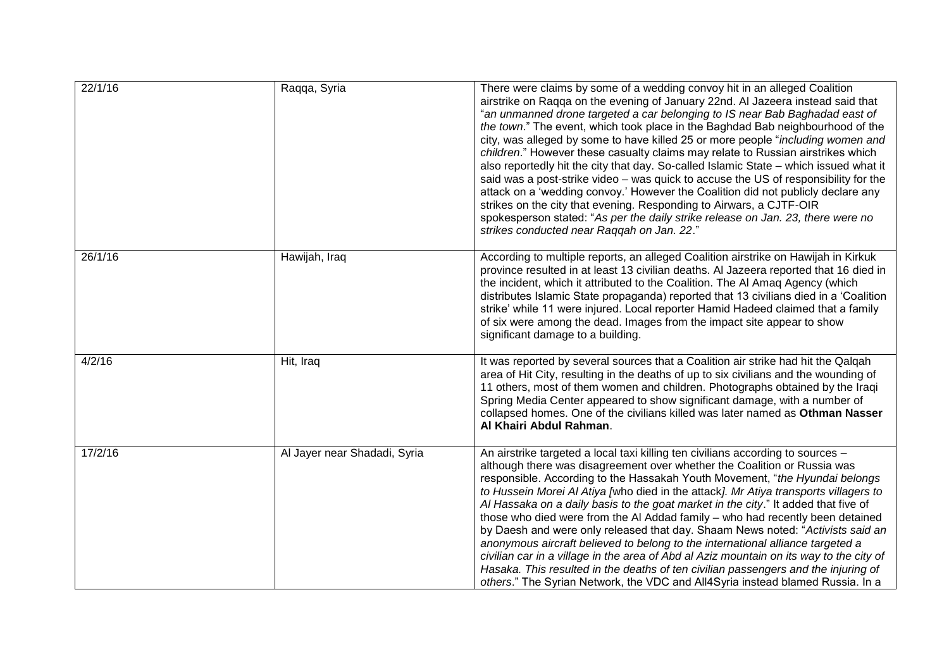| 22/1/16 | Raqqa, Syria                 | There were claims by some of a wedding convoy hit in an alleged Coalition<br>airstrike on Raqqa on the evening of January 22nd. Al Jazeera instead said that<br>"an unmanned drone targeted a car belonging to IS near Bab Baghadad east of<br>the town." The event, which took place in the Baghdad Bab neighbourhood of the<br>city, was alleged by some to have killed 25 or more people "including women and<br>children." However these casualty claims may relate to Russian airstrikes which<br>also reportedly hit the city that day. So-called Islamic State - which issued what it<br>said was a post-strike video - was quick to accuse the US of responsibility for the<br>attack on a 'wedding convoy.' However the Coalition did not publicly declare any<br>strikes on the city that evening. Responding to Airwars, a CJTF-OIR<br>spokesperson stated: "As per the daily strike release on Jan. 23, there were no<br>strikes conducted near Raqqah on Jan. 22." |
|---------|------------------------------|---------------------------------------------------------------------------------------------------------------------------------------------------------------------------------------------------------------------------------------------------------------------------------------------------------------------------------------------------------------------------------------------------------------------------------------------------------------------------------------------------------------------------------------------------------------------------------------------------------------------------------------------------------------------------------------------------------------------------------------------------------------------------------------------------------------------------------------------------------------------------------------------------------------------------------------------------------------------------------|
| 26/1/16 | Hawijah, Iraq                | According to multiple reports, an alleged Coalition airstrike on Hawijah in Kirkuk<br>province resulted in at least 13 civilian deaths. Al Jazeera reported that 16 died in<br>the incident, which it attributed to the Coalition. The AI Amaq Agency (which<br>distributes Islamic State propaganda) reported that 13 civilians died in a 'Coalition<br>strike' while 11 were injured. Local reporter Hamid Hadeed claimed that a family<br>of six were among the dead. Images from the impact site appear to show<br>significant damage to a building.                                                                                                                                                                                                                                                                                                                                                                                                                        |
| 4/2/16  | Hit, Iraq                    | It was reported by several sources that a Coalition air strike had hit the Qalqah<br>area of Hit City, resulting in the deaths of up to six civilians and the wounding of<br>11 others, most of them women and children. Photographs obtained by the Iraqi<br>Spring Media Center appeared to show significant damage, with a number of<br>collapsed homes. One of the civilians killed was later named as Othman Nasser<br>Al Khairi Abdul Rahman.                                                                                                                                                                                                                                                                                                                                                                                                                                                                                                                             |
| 17/2/16 | Al Jayer near Shadadi, Syria | An airstrike targeted a local taxi killing ten civilians according to sources -<br>although there was disagreement over whether the Coalition or Russia was<br>responsible. According to the Hassakah Youth Movement, "the Hyundai belongs<br>to Hussein Morei Al Atiya [who died in the attack]. Mr Atiya transports villagers to<br>Al Hassaka on a daily basis to the goat market in the city." It added that five of<br>those who died were from the AI Addad family - who had recently been detained<br>by Daesh and were only released that day. Shaam News noted: "Activists said an<br>anonymous aircraft believed to belong to the international alliance targeted a<br>civilian car in a village in the area of Abd al Aziz mountain on its way to the city of<br>Hasaka. This resulted in the deaths of ten civilian passengers and the injuring of<br>others." The Syrian Network, the VDC and All4Syria instead blamed Russia. In a                                |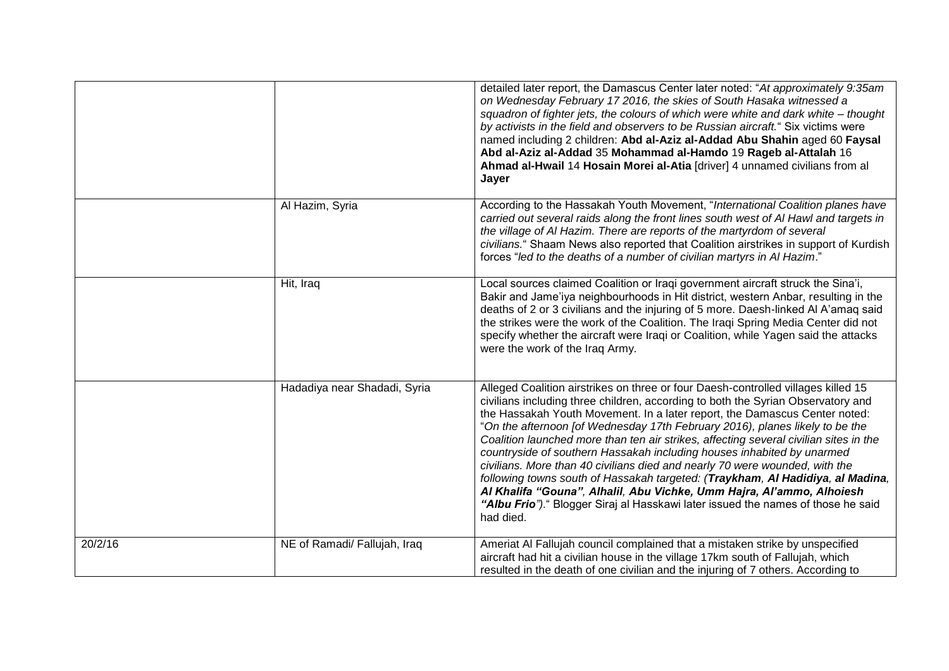|         |                              | detailed later report, the Damascus Center later noted: "At approximately 9:35am<br>on Wednesday February 17 2016, the skies of South Hasaka witnessed a<br>squadron of fighter jets, the colours of which were white and dark white - thought<br>by activists in the field and observers to be Russian aircraft." Six victims were<br>named including 2 children: Abd al-Aziz al-Addad Abu Shahin aged 60 Faysal<br>Abd al-Aziz al-Addad 35 Mohammad al-Hamdo 19 Rageb al-Attalah 16<br>Ahmad al-Hwail 14 Hosain Morei al-Atia [driver] 4 unnamed civilians from al<br>Jayer                                                                                                                                                                                                                                                                     |
|---------|------------------------------|---------------------------------------------------------------------------------------------------------------------------------------------------------------------------------------------------------------------------------------------------------------------------------------------------------------------------------------------------------------------------------------------------------------------------------------------------------------------------------------------------------------------------------------------------------------------------------------------------------------------------------------------------------------------------------------------------------------------------------------------------------------------------------------------------------------------------------------------------|
|         | Al Hazim, Syria              | According to the Hassakah Youth Movement, "International Coalition planes have<br>carried out several raids along the front lines south west of AI Hawl and targets in<br>the village of Al Hazim. There are reports of the martyrdom of several<br>civilians." Shaam News also reported that Coalition airstrikes in support of Kurdish<br>forces "led to the deaths of a number of civilian martyrs in Al Hazim."                                                                                                                                                                                                                                                                                                                                                                                                                               |
|         | Hit, Iraq                    | Local sources claimed Coalition or Iraqi government aircraft struck the Sina'i,<br>Bakir and Jame'iya neighbourhoods in Hit district, western Anbar, resulting in the<br>deaths of 2 or 3 civilians and the injuring of 5 more. Daesh-linked Al A'amag said<br>the strikes were the work of the Coalition. The Iraqi Spring Media Center did not<br>specify whether the aircraft were Iraqi or Coalition, while Yagen said the attacks<br>were the work of the Iraq Army.                                                                                                                                                                                                                                                                                                                                                                         |
|         | Hadadiya near Shadadi, Syria | Alleged Coalition airstrikes on three or four Daesh-controlled villages killed 15<br>civilians including three children, according to both the Syrian Observatory and<br>the Hassakah Youth Movement. In a later report, the Damascus Center noted:<br>"On the afternoon [of Wednesday 17th February 2016), planes likely to be the<br>Coalition launched more than ten air strikes, affecting several civilian sites in the<br>countryside of southern Hassakah including houses inhabited by unarmed<br>civilians. More than 40 civilians died and nearly 70 were wounded, with the<br>following towns south of Hassakah targeted: (Traykham, Al Hadidiya, al Madina,<br>Al Khalifa "Gouna", Alhalil, Abu Vichke, Umm Hajra, Al'ammo, Alhoiesh<br>"Albu Frio")." Blogger Siraj al Hasskawi later issued the names of those he said<br>had died. |
| 20/2/16 | NE of Ramadi/ Fallujah, Iraq | Ameriat Al Fallujah council complained that a mistaken strike by unspecified<br>aircraft had hit a civilian house in the village 17km south of Fallujah, which<br>resulted in the death of one civilian and the injuring of 7 others. According to                                                                                                                                                                                                                                                                                                                                                                                                                                                                                                                                                                                                |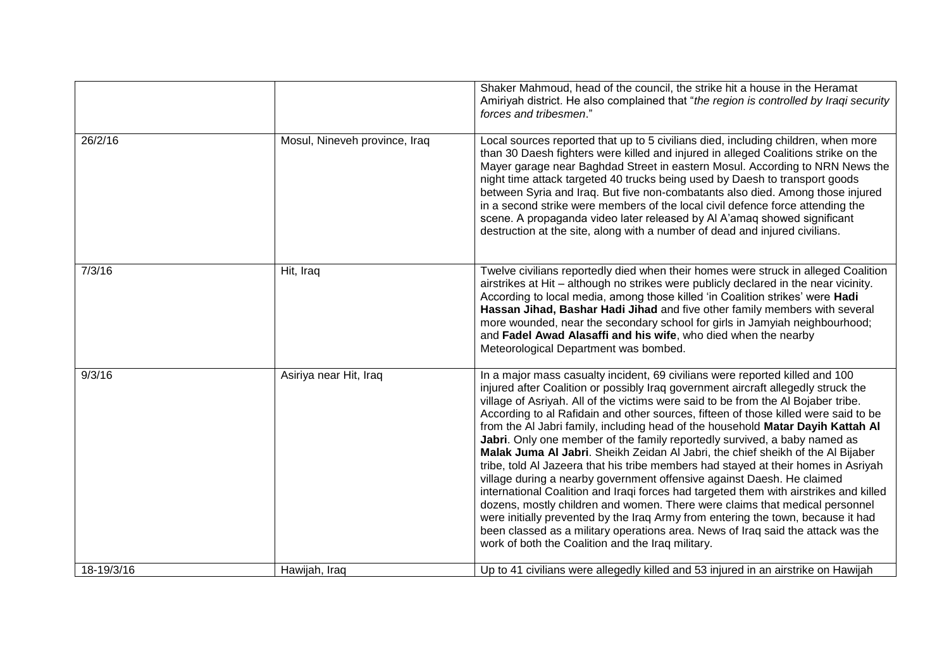|            |                               | Shaker Mahmoud, head of the council, the strike hit a house in the Heramat<br>Amiriyah district. He also complained that "the region is controlled by Iraqi security<br>forces and tribesmen."                                                                                                                                                                                                                                                                                                                                                                                                                                                                                                                                                                                                                                                                                                                                                                                                                                                                                                                                                                        |
|------------|-------------------------------|-----------------------------------------------------------------------------------------------------------------------------------------------------------------------------------------------------------------------------------------------------------------------------------------------------------------------------------------------------------------------------------------------------------------------------------------------------------------------------------------------------------------------------------------------------------------------------------------------------------------------------------------------------------------------------------------------------------------------------------------------------------------------------------------------------------------------------------------------------------------------------------------------------------------------------------------------------------------------------------------------------------------------------------------------------------------------------------------------------------------------------------------------------------------------|
| 26/2/16    | Mosul, Nineveh province, Iraq | Local sources reported that up to 5 civilians died, including children, when more<br>than 30 Daesh fighters were killed and injured in alleged Coalitions strike on the<br>Mayer garage near Baghdad Street in eastern Mosul. According to NRN News the<br>night time attack targeted 40 trucks being used by Daesh to transport goods<br>between Syria and Iraq. But five non-combatants also died. Among those injured<br>in a second strike were members of the local civil defence force attending the<br>scene. A propaganda video later released by Al A'amaq showed significant<br>destruction at the site, along with a number of dead and injured civilians.                                                                                                                                                                                                                                                                                                                                                                                                                                                                                                 |
| 7/3/16     | Hit, Iraq                     | Twelve civilians reportedly died when their homes were struck in alleged Coalition<br>airstrikes at Hit - although no strikes were publicly declared in the near vicinity.<br>According to local media, among those killed 'in Coalition strikes' were Hadi<br>Hassan Jihad, Bashar Hadi Jihad and five other family members with several<br>more wounded, near the secondary school for girls in Jamyiah neighbourhood;<br>and Fadel Awad Alasaffi and his wife, who died when the nearby<br>Meteorological Department was bombed.                                                                                                                                                                                                                                                                                                                                                                                                                                                                                                                                                                                                                                   |
| 9/3/16     | Asiriya near Hit, Iraq        | In a major mass casualty incident, 69 civilians were reported killed and 100<br>injured after Coalition or possibly Iraq government aircraft allegedly struck the<br>village of Asriyah. All of the victims were said to be from the Al Bojaber tribe.<br>According to al Rafidain and other sources, fifteen of those killed were said to be<br>from the AI Jabri family, including head of the household Matar Dayih Kattah AI<br>Jabri. Only one member of the family reportedly survived, a baby named as<br>Malak Juma Al Jabri. Sheikh Zeidan Al Jabri, the chief sheikh of the Al Bijaber<br>tribe, told Al Jazeera that his tribe members had stayed at their homes in Asriyah<br>village during a nearby government offensive against Daesh. He claimed<br>international Coalition and Iraqi forces had targeted them with airstrikes and killed<br>dozens, mostly children and women. There were claims that medical personnel<br>were initially prevented by the Iraq Army from entering the town, because it had<br>been classed as a military operations area. News of Iraq said the attack was the<br>work of both the Coalition and the Iraq military. |
| 18-19/3/16 | Hawijah, Iraq                 | Up to 41 civilians were allegedly killed and 53 injured in an airstrike on Hawijah                                                                                                                                                                                                                                                                                                                                                                                                                                                                                                                                                                                                                                                                                                                                                                                                                                                                                                                                                                                                                                                                                    |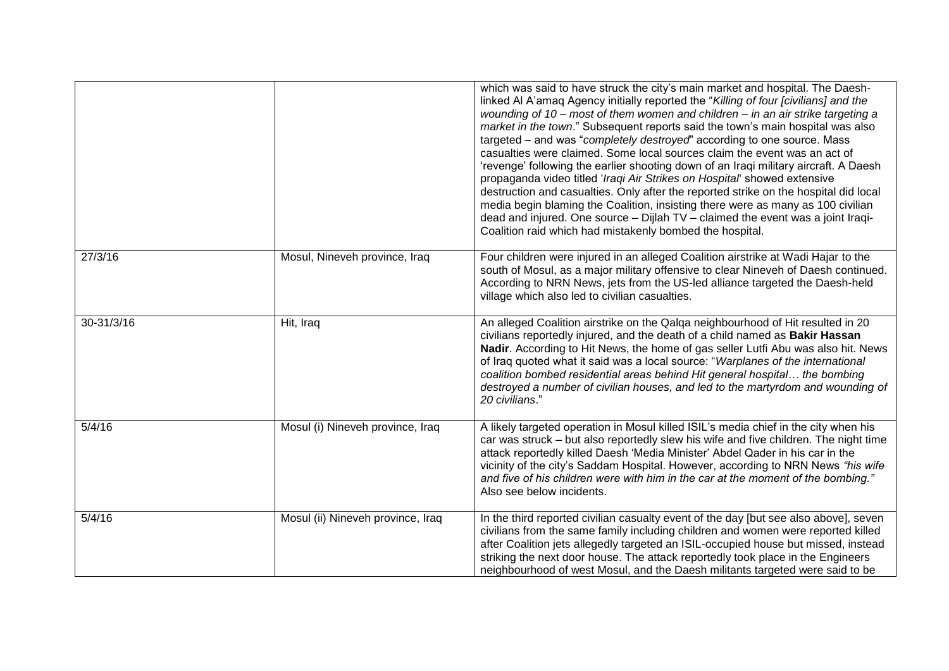|            |                                   | which was said to have struck the city's main market and hospital. The Daesh-<br>linked AI A'amaq Agency initially reported the "Killing of four [civilians] and the<br>wounding of 10 - most of them women and children - in an air strike targeting a<br>market in the town." Subsequent reports said the town's main hospital was also<br>targeted – and was "completely destroyed" according to one source. Mass<br>casualties were claimed. Some local sources claim the event was an act of<br>'revenge' following the earlier shooting down of an Iraqi military aircraft. A Daesh<br>propaganda video titled 'Iraqi Air Strikes on Hospital' showed extensive<br>destruction and casualties. Only after the reported strike on the hospital did local<br>media begin blaming the Coalition, insisting there were as many as 100 civilian<br>dead and injured. One source - Dijlah TV - claimed the event was a joint Iraqi-<br>Coalition raid which had mistakenly bombed the hospital. |
|------------|-----------------------------------|-------------------------------------------------------------------------------------------------------------------------------------------------------------------------------------------------------------------------------------------------------------------------------------------------------------------------------------------------------------------------------------------------------------------------------------------------------------------------------------------------------------------------------------------------------------------------------------------------------------------------------------------------------------------------------------------------------------------------------------------------------------------------------------------------------------------------------------------------------------------------------------------------------------------------------------------------------------------------------------------------|
| 27/3/16    | Mosul, Nineveh province, Iraq     | Four children were injured in an alleged Coalition airstrike at Wadi Hajar to the<br>south of Mosul, as a major military offensive to clear Nineveh of Daesh continued.<br>According to NRN News, jets from the US-led alliance targeted the Daesh-held<br>village which also led to civilian casualties.                                                                                                                                                                                                                                                                                                                                                                                                                                                                                                                                                                                                                                                                                       |
| 30-31/3/16 | Hit, Iraq                         | An alleged Coalition airstrike on the Qalqa neighbourhood of Hit resulted in 20<br>civilians reportedly injured, and the death of a child named as Bakir Hassan<br>Nadir. According to Hit News, the home of gas seller Lutfi Abu was also hit. News<br>of Iraq quoted what it said was a local source: "Warplanes of the international<br>coalition bombed residential areas behind Hit general hospital the bombing<br>destroyed a number of civilian houses, and led to the martyrdom and wounding of<br>20 civilians."                                                                                                                                                                                                                                                                                                                                                                                                                                                                      |
| 5/4/16     | Mosul (i) Nineveh province, Iraq  | A likely targeted operation in Mosul killed ISIL's media chief in the city when his<br>car was struck – but also reportedly slew his wife and five children. The night time<br>attack reportedly killed Daesh 'Media Minister' Abdel Qader in his car in the<br>vicinity of the city's Saddam Hospital. However, according to NRN News "his wife<br>and five of his children were with him in the car at the moment of the bombing."<br>Also see below incidents.                                                                                                                                                                                                                                                                                                                                                                                                                                                                                                                               |
| 5/4/16     | Mosul (ii) Nineveh province, Iraq | In the third reported civilian casualty event of the day [but see also above], seven<br>civilians from the same family including children and women were reported killed<br>after Coalition jets allegedly targeted an ISIL-occupied house but missed, instead<br>striking the next door house. The attack reportedly took place in the Engineers<br>neighbourhood of west Mosul, and the Daesh militants targeted were said to be                                                                                                                                                                                                                                                                                                                                                                                                                                                                                                                                                              |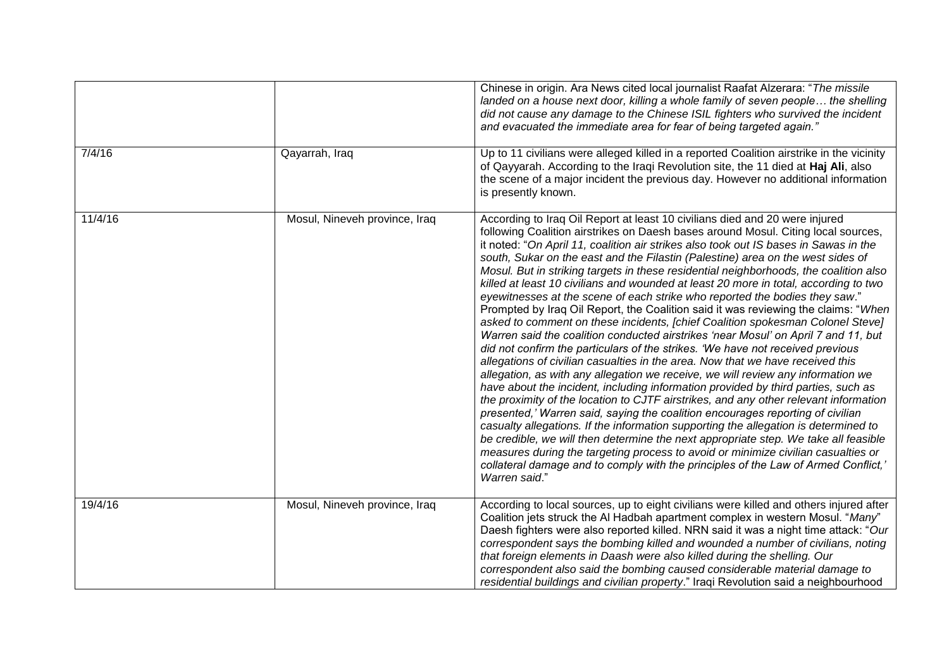|         |                               | Chinese in origin. Ara News cited local journalist Raafat Alzerara: "The missile<br>landed on a house next door, killing a whole family of seven people the shelling<br>did not cause any damage to the Chinese ISIL fighters who survived the incident<br>and evacuated the immediate area for fear of being targeted again."                                                                                                                                                                                                                                                                                                                                                                                                                                                                                                                                                                                                                                                                                                                                                                                                                                                                                                                                                                                                                                                                                                                                                                                                                                                                                                                                                                                                                                             |
|---------|-------------------------------|----------------------------------------------------------------------------------------------------------------------------------------------------------------------------------------------------------------------------------------------------------------------------------------------------------------------------------------------------------------------------------------------------------------------------------------------------------------------------------------------------------------------------------------------------------------------------------------------------------------------------------------------------------------------------------------------------------------------------------------------------------------------------------------------------------------------------------------------------------------------------------------------------------------------------------------------------------------------------------------------------------------------------------------------------------------------------------------------------------------------------------------------------------------------------------------------------------------------------------------------------------------------------------------------------------------------------------------------------------------------------------------------------------------------------------------------------------------------------------------------------------------------------------------------------------------------------------------------------------------------------------------------------------------------------------------------------------------------------------------------------------------------------|
| 7/4/16  | Qayarrah, Iraq                | Up to 11 civilians were alleged killed in a reported Coalition airstrike in the vicinity<br>of Qayyarah. According to the Iraqi Revolution site, the 11 died at Haj Ali, also<br>the scene of a major incident the previous day. However no additional information<br>is presently known.                                                                                                                                                                                                                                                                                                                                                                                                                                                                                                                                                                                                                                                                                                                                                                                                                                                                                                                                                                                                                                                                                                                                                                                                                                                                                                                                                                                                                                                                                  |
| 11/4/16 | Mosul, Nineveh province, Iraq | According to Iraq Oil Report at least 10 civilians died and 20 were injured<br>following Coalition airstrikes on Daesh bases around Mosul. Citing local sources,<br>it noted: "On April 11, coalition air strikes also took out IS bases in Sawas in the<br>south, Sukar on the east and the Filastin (Palestine) area on the west sides of<br>Mosul. But in striking targets in these residential neighborhoods, the coalition also<br>killed at least 10 civilians and wounded at least 20 more in total, according to two<br>eyewitnesses at the scene of each strike who reported the bodies they saw."<br>Prompted by Iraq Oil Report, the Coalition said it was reviewing the claims: "When<br>asked to comment on these incidents, [chief Coalition spokesman Colonel Steve]<br>Warren said the coalition conducted airstrikes 'near Mosul' on April 7 and 11, but<br>did not confirm the particulars of the strikes. 'We have not received previous<br>allegations of civilian casualties in the area. Now that we have received this<br>allegation, as with any allegation we receive, we will review any information we<br>have about the incident, including information provided by third parties, such as<br>the proximity of the location to CJTF airstrikes, and any other relevant information<br>presented,' Warren said, saying the coalition encourages reporting of civilian<br>casualty allegations. If the information supporting the allegation is determined to<br>be credible, we will then determine the next appropriate step. We take all feasible<br>measures during the targeting process to avoid or minimize civilian casualties or<br>collateral damage and to comply with the principles of the Law of Armed Conflict,'<br>Warren said." |
| 19/4/16 | Mosul, Nineveh province, Iraq | According to local sources, up to eight civilians were killed and others injured after<br>Coalition jets struck the AI Hadbah apartment complex in western Mosul. "Many"<br>Daesh fighters were also reported killed. NRN said it was a night time attack: "Our<br>correspondent says the bombing killed and wounded a number of civilians, noting<br>that foreign elements in Daash were also killed during the shelling. Our<br>correspondent also said the bombing caused considerable material damage to<br>residential buildings and civilian property." Iraqi Revolution said a neighbourhood                                                                                                                                                                                                                                                                                                                                                                                                                                                                                                                                                                                                                                                                                                                                                                                                                                                                                                                                                                                                                                                                                                                                                                        |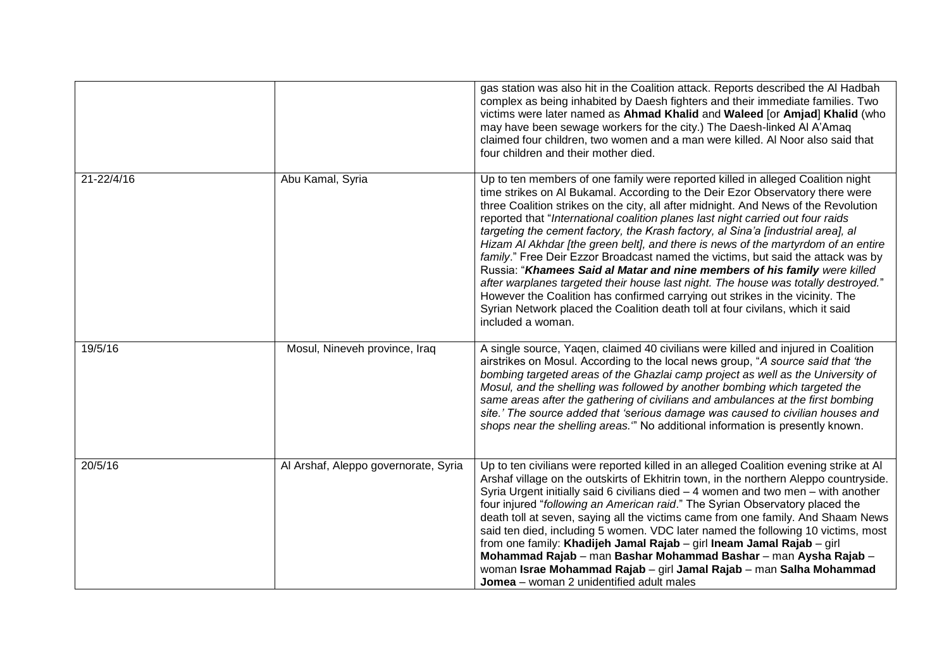|            |                                      | gas station was also hit in the Coalition attack. Reports described the AI Hadbah<br>complex as being inhabited by Daesh fighters and their immediate families. Two<br>victims were later named as Ahmad Khalid and Waleed [or Amjad] Khalid (who<br>may have been sewage workers for the city.) The Daesh-linked Al A'Amag<br>claimed four children, two women and a man were killed. Al Noor also said that<br>four children and their mother died.                                                                                                                                                                                                                                                                                                                                                                                                                                                                                                              |
|------------|--------------------------------------|--------------------------------------------------------------------------------------------------------------------------------------------------------------------------------------------------------------------------------------------------------------------------------------------------------------------------------------------------------------------------------------------------------------------------------------------------------------------------------------------------------------------------------------------------------------------------------------------------------------------------------------------------------------------------------------------------------------------------------------------------------------------------------------------------------------------------------------------------------------------------------------------------------------------------------------------------------------------|
| 21-22/4/16 | Abu Kamal, Syria                     | Up to ten members of one family were reported killed in alleged Coalition night<br>time strikes on AI Bukamal. According to the Deir Ezor Observatory there were<br>three Coalition strikes on the city, all after midnight. And News of the Revolution<br>reported that "International coalition planes last night carried out four raids<br>targeting the cement factory, the Krash factory, al Sina'a [industrial area], al<br>Hizam AI Akhdar [the green belt], and there is news of the martyrdom of an entire<br>family." Free Deir Ezzor Broadcast named the victims, but said the attack was by<br>Russia: "Khamees Said al Matar and nine members of his family were killed<br>after warplanes targeted their house last night. The house was totally destroyed."<br>However the Coalition has confirmed carrying out strikes in the vicinity. The<br>Syrian Network placed the Coalition death toll at four civilans, which it said<br>included a woman. |
| 19/5/16    | Mosul, Nineveh province, Iraq        | A single source, Yaqen, claimed 40 civilians were killed and injured in Coalition<br>airstrikes on Mosul. According to the local news group, "A source said that 'the<br>bombing targeted areas of the Ghazlai camp project as well as the University of<br>Mosul, and the shelling was followed by another bombing which targeted the<br>same areas after the gathering of civilians and ambulances at the first bombing<br>site.' The source added that 'serious damage was caused to civilian houses and<br>shops near the shelling areas." No additional information is presently known.                                                                                                                                                                                                                                                                                                                                                                       |
| 20/5/16    | Al Arshaf, Aleppo governorate, Syria | Up to ten civilians were reported killed in an alleged Coalition evening strike at Al<br>Arshaf village on the outskirts of Ekhitrin town, in the northern Aleppo countryside.<br>Syria Urgent initially said 6 civilians died $-4$ women and two men $-$ with another<br>four injured "following an American raid." The Syrian Observatory placed the<br>death toll at seven, saying all the victims came from one family. And Shaam News<br>said ten died, including 5 women. VDC later named the following 10 victims, most<br>from one family: Khadijeh Jamal Rajab - girl Ineam Jamal Rajab - girl<br>Mohammad Rajab - man Bashar Mohammad Bashar - man Aysha Rajab -<br>woman Israe Mohammad Rajab - girl Jamal Rajab - man Salha Mohammad<br>Jomea - woman 2 unidentified adult males                                                                                                                                                                       |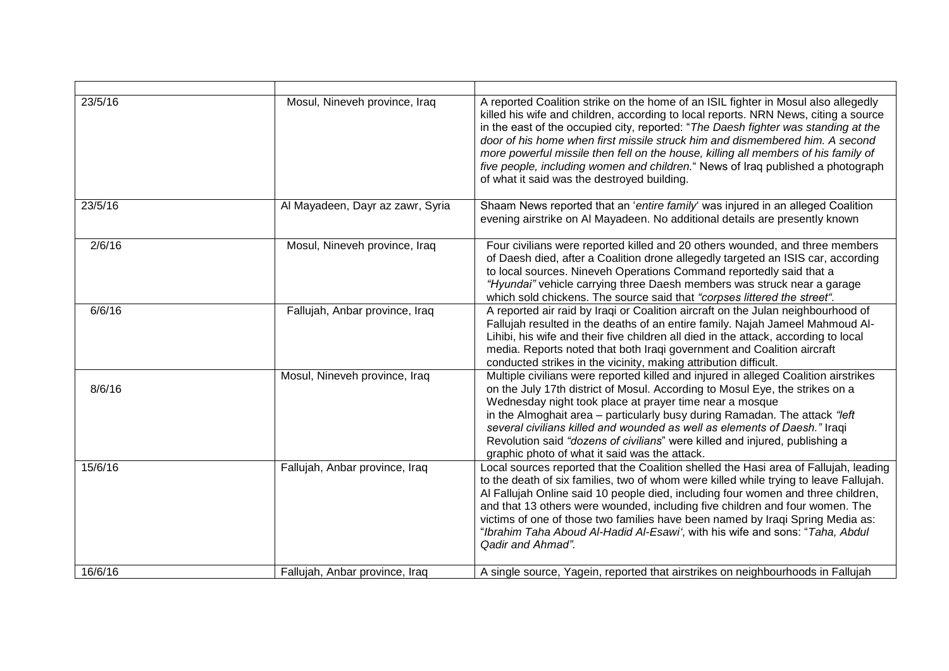| 23/5/16 | Mosul, Nineveh province, Iraq    | A reported Coalition strike on the home of an ISIL fighter in Mosul also allegedly<br>killed his wife and children, according to local reports. NRN News, citing a source<br>in the east of the occupied city, reported: "The Daesh fighter was standing at the<br>door of his home when first missile struck him and dismembered him. A second<br>more powerful missile then fell on the house, killing all members of his family of<br>five people, including women and children." News of Iraq published a photograph<br>of what it said was the destroyed building. |
|---------|----------------------------------|-------------------------------------------------------------------------------------------------------------------------------------------------------------------------------------------------------------------------------------------------------------------------------------------------------------------------------------------------------------------------------------------------------------------------------------------------------------------------------------------------------------------------------------------------------------------------|
| 23/5/16 | Al Mayadeen, Dayr az zawr, Syria | Shaam News reported that an 'entire family' was injured in an alleged Coalition<br>evening airstrike on AI Mayadeen. No additional details are presently known                                                                                                                                                                                                                                                                                                                                                                                                          |
| 2/6/16  | Mosul, Nineveh province, Iraq    | Four civilians were reported killed and 20 others wounded, and three members<br>of Daesh died, after a Coalition drone allegedly targeted an ISIS car, according<br>to local sources. Nineveh Operations Command reportedly said that a<br>"Hyundai" vehicle carrying three Daesh members was struck near a garage<br>which sold chickens. The source said that "corpses littered the street".                                                                                                                                                                          |
| 6/6/16  | Fallujah, Anbar province, Iraq   | A reported air raid by Iraqi or Coalition aircraft on the Julan neighbourhood of<br>Fallujah resulted in the deaths of an entire family. Najah Jameel Mahmoud Al-<br>Lihibi, his wife and their five children all died in the attack, according to local<br>media. Reports noted that both Iraqi government and Coalition aircraft<br>conducted strikes in the vicinity, making attribution difficult.                                                                                                                                                                  |
| 8/6/16  | Mosul, Nineveh province, Iraq    | Multiple civilians were reported killed and injured in alleged Coalition airstrikes<br>on the July 17th district of Mosul. According to Mosul Eye, the strikes on a<br>Wednesday night took place at prayer time near a mosque<br>in the Almoghait area - particularly busy during Ramadan. The attack "left"<br>several civilians killed and wounded as well as elements of Daesh." Iraqi<br>Revolution said "dozens of civilians" were killed and injured, publishing a<br>graphic photo of what it said was the attack.                                              |
| 15/6/16 | Fallujah, Anbar province, Iraq   | Local sources reported that the Coalition shelled the Hasi area of Fallujah, leading<br>to the death of six families, two of whom were killed while trying to leave Fallujah.<br>Al Fallujah Online said 10 people died, including four women and three children,<br>and that 13 others were wounded, including five children and four women. The<br>victims of one of those two families have been named by Iraqi Spring Media as:<br>"Ibrahim Taha Aboud Al-Hadid Al-Esawi', with his wife and sons: "Taha, Abdul<br>Qadir and Ahmad".                                |
| 16/6/16 | Fallujah, Anbar province, Iraq   | A single source, Yagein, reported that airstrikes on neighbourhoods in Falluiah                                                                                                                                                                                                                                                                                                                                                                                                                                                                                         |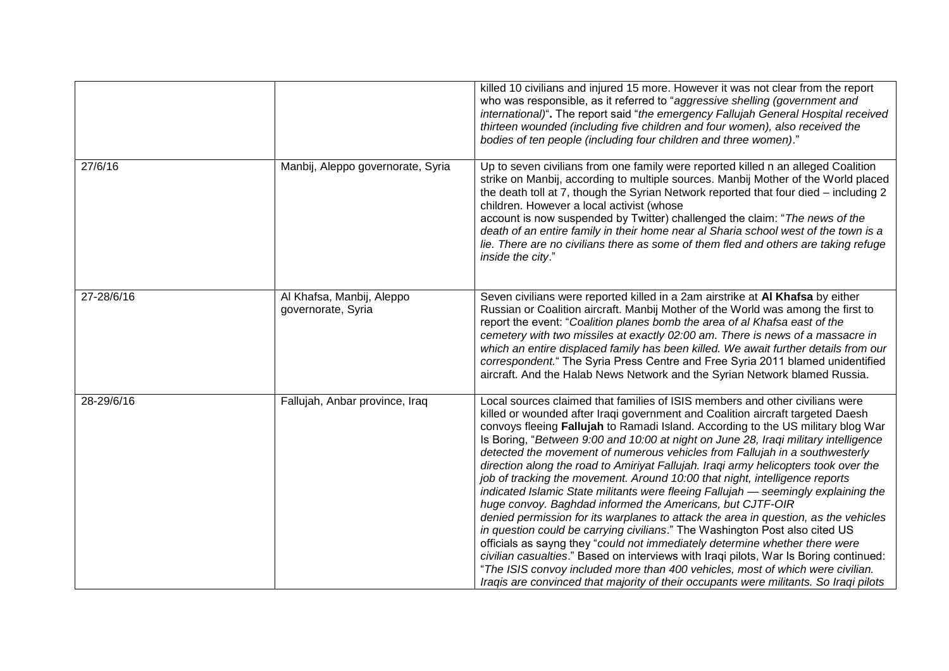|            |                                                 | killed 10 civilians and injured 15 more. However it was not clear from the report<br>who was responsible, as it referred to "aggressive shelling (government and<br>international)". The report said "the emergency Fallujah General Hospital received<br>thirteen wounded (including five children and four women), also received the<br>bodies of ten people (including four children and three women)."                                                                                                                                                                                                                                                                                                                                                                                                                                                                                                                                                                                                                                                                                                                                                                                                                                                                 |
|------------|-------------------------------------------------|----------------------------------------------------------------------------------------------------------------------------------------------------------------------------------------------------------------------------------------------------------------------------------------------------------------------------------------------------------------------------------------------------------------------------------------------------------------------------------------------------------------------------------------------------------------------------------------------------------------------------------------------------------------------------------------------------------------------------------------------------------------------------------------------------------------------------------------------------------------------------------------------------------------------------------------------------------------------------------------------------------------------------------------------------------------------------------------------------------------------------------------------------------------------------------------------------------------------------------------------------------------------------|
| 27/6/16    | Manbij, Aleppo governorate, Syria               | Up to seven civilians from one family were reported killed n an alleged Coalition<br>strike on Manbij, according to multiple sources. Manbij Mother of the World placed<br>the death toll at 7, though the Syrian Network reported that four died - including 2<br>children. However a local activist (whose<br>account is now suspended by Twitter) challenged the claim: "The news of the<br>death of an entire family in their home near al Sharia school west of the town is a<br>lie. There are no civilians there as some of them fled and others are taking refuge<br>inside the city."                                                                                                                                                                                                                                                                                                                                                                                                                                                                                                                                                                                                                                                                             |
| 27-28/6/16 | Al Khafsa, Manbij, Aleppo<br>governorate, Syria | Seven civilians were reported killed in a 2am airstrike at AI Khafsa by either<br>Russian or Coalition aircraft. Manbij Mother of the World was among the first to<br>report the event: "Coalition planes bomb the area of al Khafsa east of the<br>cemetery with two missiles at exactly 02:00 am. There is news of a massacre in<br>which an entire displaced family has been killed. We await further details from our<br>correspondent." The Syria Press Centre and Free Syria 2011 blamed unidentified<br>aircraft. And the Halab News Network and the Syrian Network blamed Russia.                                                                                                                                                                                                                                                                                                                                                                                                                                                                                                                                                                                                                                                                                  |
| 28-29/6/16 | Fallujah, Anbar province, Iraq                  | Local sources claimed that families of ISIS members and other civilians were<br>killed or wounded after Iraqi government and Coalition aircraft targeted Daesh<br>convoys fleeing Fallujah to Ramadi Island. According to the US military blog War<br>Is Boring, "Between 9:00 and 10:00 at night on June 28, Iraqi military intelligence<br>detected the movement of numerous vehicles from Fallujah in a southwesterly<br>direction along the road to Amiriyat Fallujah. Iraqi army helicopters took over the<br>job of tracking the movement. Around 10:00 that night, intelligence reports<br>indicated Islamic State militants were fleeing Fallujah - seemingly explaining the<br>huge convoy. Baghdad informed the Americans, but CJTF-OIR<br>denied permission for its warplanes to attack the area in question, as the vehicles<br>in question could be carrying civilians." The Washington Post also cited US<br>officials as sayng they "could not immediately determine whether there were<br>civilian casualties." Based on interviews with Iraqi pilots, War Is Boring continued:<br>"The ISIS convoy included more than 400 vehicles, most of which were civilian.<br>Iragis are convinced that majority of their occupants were militants. So Iragi pilots |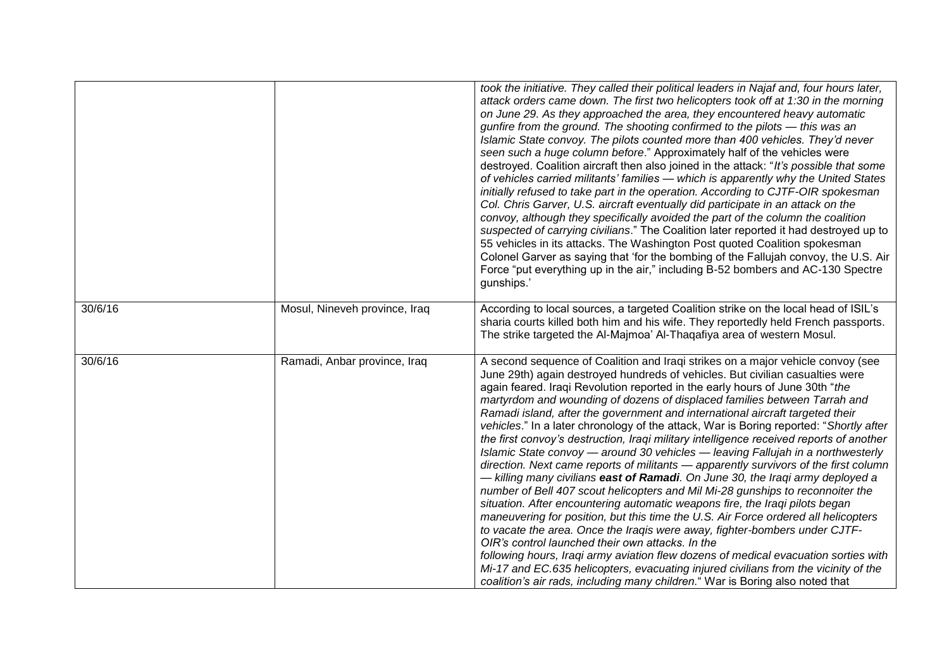|         |                               | took the initiative. They called their political leaders in Najaf and, four hours later,<br>attack orders came down. The first two helicopters took off at 1:30 in the morning<br>on June 29. As they approached the area, they encountered heavy automatic<br>gunfire from the ground. The shooting confirmed to the pilots - this was an<br>Islamic State convoy. The pilots counted more than 400 vehicles. They'd never<br>seen such a huge column before." Approximately half of the vehicles were<br>destroyed. Coalition aircraft then also joined in the attack: "It's possible that some<br>of vehicles carried militants' families — which is apparently why the United States<br>initially refused to take part in the operation. According to CJTF-OIR spokesman<br>Col. Chris Garver, U.S. aircraft eventually did participate in an attack on the<br>convoy, although they specifically avoided the part of the column the coalition<br>suspected of carrying civilians." The Coalition later reported it had destroyed up to<br>55 vehicles in its attacks. The Washington Post quoted Coalition spokesman<br>Colonel Garver as saying that 'for the bombing of the Fallujah convoy, the U.S. Air<br>Force "put everything up in the air," including B-52 bombers and AC-130 Spectre<br>gunships.'                                                                                                                                                                                                                 |
|---------|-------------------------------|-----------------------------------------------------------------------------------------------------------------------------------------------------------------------------------------------------------------------------------------------------------------------------------------------------------------------------------------------------------------------------------------------------------------------------------------------------------------------------------------------------------------------------------------------------------------------------------------------------------------------------------------------------------------------------------------------------------------------------------------------------------------------------------------------------------------------------------------------------------------------------------------------------------------------------------------------------------------------------------------------------------------------------------------------------------------------------------------------------------------------------------------------------------------------------------------------------------------------------------------------------------------------------------------------------------------------------------------------------------------------------------------------------------------------------------------------------------------------------------------------------------------------------------|
| 30/6/16 | Mosul, Nineveh province, Iraq | According to local sources, a targeted Coalition strike on the local head of ISIL's<br>sharia courts killed both him and his wife. They reportedly held French passports.<br>The strike targeted the Al-Majmoa' Al-Thaqafiya area of western Mosul.                                                                                                                                                                                                                                                                                                                                                                                                                                                                                                                                                                                                                                                                                                                                                                                                                                                                                                                                                                                                                                                                                                                                                                                                                                                                               |
| 30/6/16 | Ramadi, Anbar province, Iraq  | A second sequence of Coalition and Iraqi strikes on a major vehicle convoy (see<br>June 29th) again destroyed hundreds of vehicles. But civilian casualties were<br>again feared. Iraqi Revolution reported in the early hours of June 30th "the<br>martyrdom and wounding of dozens of displaced families between Tarrah and<br>Ramadi island, after the government and international aircraft targeted their<br>vehicles." In a later chronology of the attack, War is Boring reported: "Shortly after<br>the first convoy's destruction, Iraqi military intelligence received reports of another<br>Islamic State convoy — around 30 vehicles — leaving Fallujah in a northwesterly<br>direction. Next came reports of militants - apparently survivors of the first column<br>— killing many civilians <b>east of Ramadi</b> . On June 30, the Iraqi army deployed a<br>number of Bell 407 scout helicopters and Mil Mi-28 gunships to reconnoiter the<br>situation. After encountering automatic weapons fire, the Iraqi pilots began<br>maneuvering for position, but this time the U.S. Air Force ordered all helicopters<br>to vacate the area. Once the Iraqis were away, fighter-bombers under CJTF-<br>OIR's control launched their own attacks. In the<br>following hours, Iraqi army aviation flew dozens of medical evacuation sorties with<br>Mi-17 and EC.635 helicopters, evacuating injured civilians from the vicinity of the<br>coalition's air rads, including many children." War is Boring also noted that |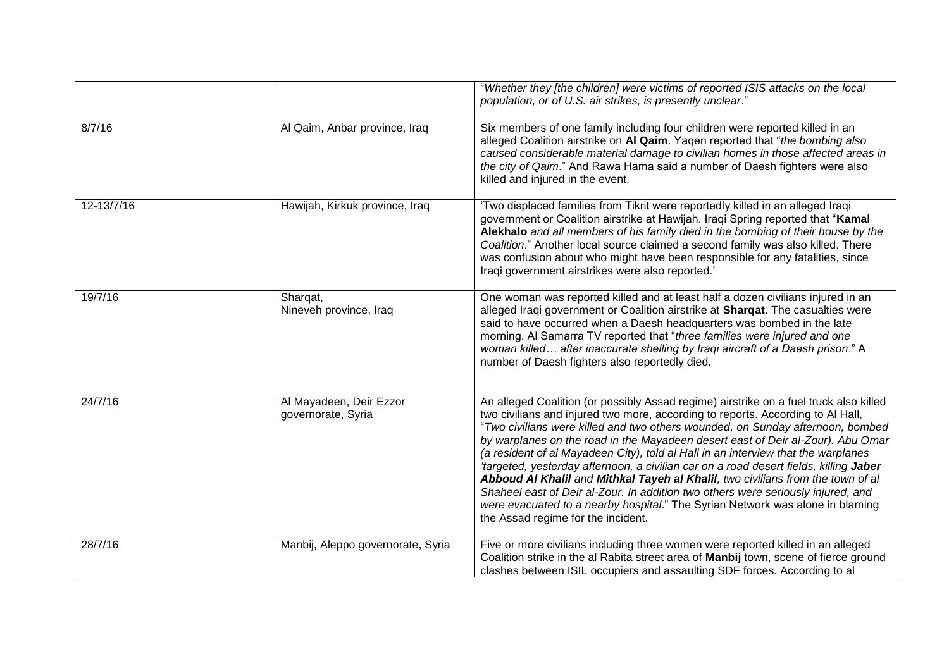|            |                                               | "Whether they [the children] were victims of reported ISIS attacks on the local<br>population, or of U.S. air strikes, is presently unclear."                                                                                                                                                                                                                                                                                                                                                                                                                                                                                                                                                                                                                                                                             |
|------------|-----------------------------------------------|---------------------------------------------------------------------------------------------------------------------------------------------------------------------------------------------------------------------------------------------------------------------------------------------------------------------------------------------------------------------------------------------------------------------------------------------------------------------------------------------------------------------------------------------------------------------------------------------------------------------------------------------------------------------------------------------------------------------------------------------------------------------------------------------------------------------------|
| 8/7/16     | Al Qaim, Anbar province, Iraq                 | Six members of one family including four children were reported killed in an<br>alleged Coalition airstrike on AI Qaim. Yagen reported that "the bombing also<br>caused considerable material damage to civilian homes in those affected areas in<br>the city of Qaim." And Rawa Hama said a number of Daesh fighters were also<br>killed and injured in the event.                                                                                                                                                                                                                                                                                                                                                                                                                                                       |
| 12-13/7/16 | Hawijah, Kirkuk province, Iraq                | 'Two displaced families from Tikrit were reportedly killed in an alleged Iraqi<br>government or Coalition airstrike at Hawijah. Iraqi Spring reported that "Kamal<br>Alekhalo and all members of his family died in the bombing of their house by the<br>Coalition." Another local source claimed a second family was also killed. There<br>was confusion about who might have been responsible for any fatalities, since<br>Iraqi government airstrikes were also reported.'                                                                                                                                                                                                                                                                                                                                             |
| 19/7/16    | Shargat,<br>Nineveh province, Iraq            | One woman was reported killed and at least half a dozen civilians injured in an<br>alleged Iraqi government or Coalition airstrike at Sharqat. The casualties were<br>said to have occurred when a Daesh headquarters was bombed in the late<br>morning. Al Samarra TV reported that "three families were injured and one<br>woman killed after inaccurate shelling by Iraqi aircraft of a Daesh prison." A<br>number of Daesh fighters also reportedly died.                                                                                                                                                                                                                                                                                                                                                             |
| 24/7/16    | Al Mayadeen, Deir Ezzor<br>governorate, Syria | An alleged Coalition (or possibly Assad regime) airstrike on a fuel truck also killed<br>two civilians and injured two more, according to reports. According to Al Hall,<br>"Two civilians were killed and two others wounded, on Sunday afternoon, bombed<br>by warplanes on the road in the Mayadeen desert east of Deir al-Zour). Abu Omar<br>(a resident of al Mayadeen City), told al Hall in an interview that the warplanes<br>'targeted, yesterday afternoon, a civilian car on a road desert fields, killing Jaber<br>Abboud Al Khalil and Mithkal Tayeh al Khalil, two civilians from the town of al<br>Shaheel east of Deir al-Zour. In addition two others were seriously injured, and<br>were evacuated to a nearby hospital." The Syrian Network was alone in blaming<br>the Assad regime for the incident. |
| 28/7/16    | Manbij, Aleppo governorate, Syria             | Five or more civilians including three women were reported killed in an alleged<br>Coalition strike in the al Rabita street area of Manbij town, scene of fierce ground<br>clashes between ISIL occupiers and assaulting SDF forces. According to al                                                                                                                                                                                                                                                                                                                                                                                                                                                                                                                                                                      |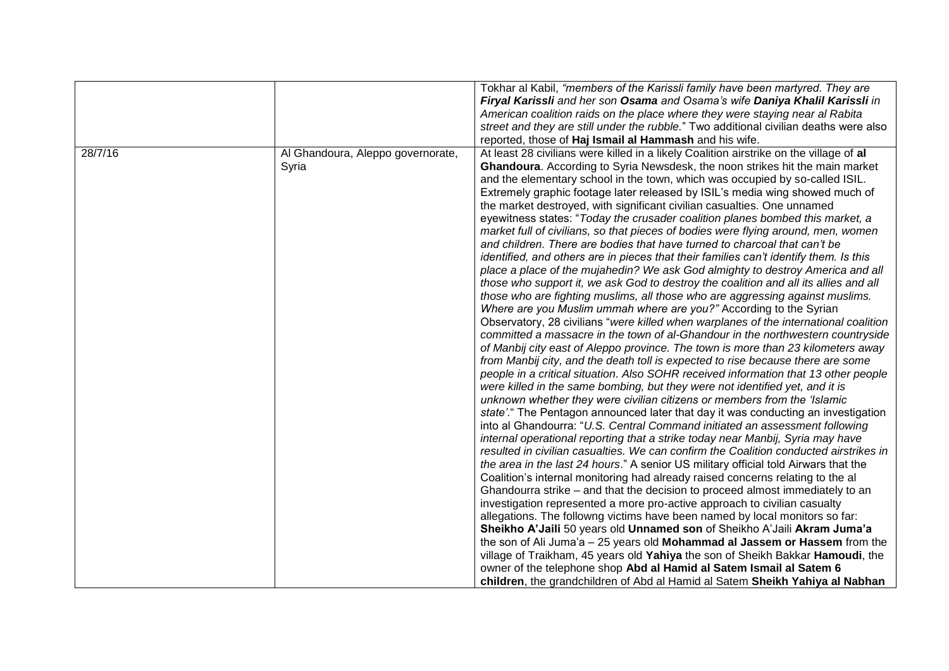|                                                       | Tokhar al Kabil, "members of the Karissli family have been martyred. They are<br>Firyal Karissli and her son Osama and Osama's wife Daniya Khalil Karissli in<br>American coalition raids on the place where they were staying near al Rabita<br>street and they are still under the rubble." Two additional civilian deaths were also<br>reported, those of Haj Ismail al Hammash and his wife.                                                                                                                                                                                                                                                                                                                                                                                                                                                                                                                                                                                                                                                                                                                                                                                                                                                                                                                                                                                                                                                                                                                                                                                                                                                                                                                                                                                                                                                                                                                                                                                                                                                                                                                                                                                                                                                                                                                                                                                                                                                                                                                                                                                                                                                                                                                                                                                                                                                                                    |
|-------------------------------------------------------|-------------------------------------------------------------------------------------------------------------------------------------------------------------------------------------------------------------------------------------------------------------------------------------------------------------------------------------------------------------------------------------------------------------------------------------------------------------------------------------------------------------------------------------------------------------------------------------------------------------------------------------------------------------------------------------------------------------------------------------------------------------------------------------------------------------------------------------------------------------------------------------------------------------------------------------------------------------------------------------------------------------------------------------------------------------------------------------------------------------------------------------------------------------------------------------------------------------------------------------------------------------------------------------------------------------------------------------------------------------------------------------------------------------------------------------------------------------------------------------------------------------------------------------------------------------------------------------------------------------------------------------------------------------------------------------------------------------------------------------------------------------------------------------------------------------------------------------------------------------------------------------------------------------------------------------------------------------------------------------------------------------------------------------------------------------------------------------------------------------------------------------------------------------------------------------------------------------------------------------------------------------------------------------------------------------------------------------------------------------------------------------------------------------------------------------------------------------------------------------------------------------------------------------------------------------------------------------------------------------------------------------------------------------------------------------------------------------------------------------------------------------------------------------------------------------------------------------------------------------------------------------|
| 28/7/16<br>Al Ghandoura, Aleppo governorate,<br>Syria | At least 28 civilians were killed in a likely Coalition airstrike on the village of al<br>Ghandoura. According to Syria Newsdesk, the noon strikes hit the main market<br>and the elementary school in the town, which was occupied by so-called ISIL.<br>Extremely graphic footage later released by ISIL's media wing showed much of<br>the market destroyed, with significant civilian casualties. One unnamed<br>eyewitness states: "Today the crusader coalition planes bombed this market, a<br>market full of civilians, so that pieces of bodies were flying around, men, women<br>and children. There are bodies that have turned to charcoal that can't be<br>identified, and others are in pieces that their families can't identify them. Is this<br>place a place of the mujahedin? We ask God almighty to destroy America and all<br>those who support it, we ask God to destroy the coalition and all its allies and all<br>those who are fighting muslims, all those who are aggressing against muslims.<br>Where are you Muslim ummah where are you?" According to the Syrian<br>Observatory, 28 civilians "were killed when warplanes of the international coalition<br>committed a massacre in the town of al-Ghandour in the northwestern countryside<br>of Manbij city east of Aleppo province. The town is more than 23 kilometers away<br>from Manbij city, and the death toll is expected to rise because there are some<br>people in a critical situation. Also SOHR received information that 13 other people<br>were killed in the same bombing, but they were not identified yet, and it is<br>unknown whether they were civilian citizens or members from the 'Islamic<br>state'." The Pentagon announced later that day it was conducting an investigation<br>into al Ghandourra: "U.S. Central Command initiated an assessment following<br>internal operational reporting that a strike today near Manbij, Syria may have<br>resulted in civilian casualties. We can confirm the Coalition conducted airstrikes in<br>the area in the last 24 hours." A senior US military official told Airwars that the<br>Coalition's internal monitoring had already raised concerns relating to the al<br>Ghandourra strike – and that the decision to proceed almost immediately to an<br>investigation represented a more pro-active approach to civilian casualty<br>allegations. The followng victims have been named by local monitors so far:<br>Sheikho A'Jaili 50 years old Unnamed son of Sheikho A'Jaili Akram Juma'a<br>the son of Ali Juma'a $-25$ years old <b>Mohammad al Jassem or Hassem</b> from the<br>village of Traikham, 45 years old Yahiya the son of Sheikh Bakkar Hamoudi, the<br>owner of the telephone shop Abd al Hamid al Satem Ismail al Satem 6<br>children, the grandchildren of Abd al Hamid al Satem Sheikh Yahiya al Nabhan |